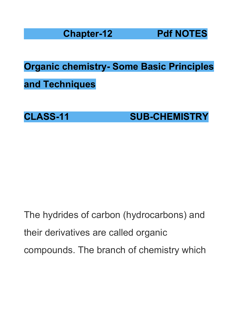**Chapter-12 Pdf NOTES**

**Organic chemistry- Some Basic Principles**

**and Techniques**

**CLASS-11 SUB-CHEMISTRY**

The hydrides of carbon (hydrocarbons) and their derivatives are called organic compounds. The branch of chemistry which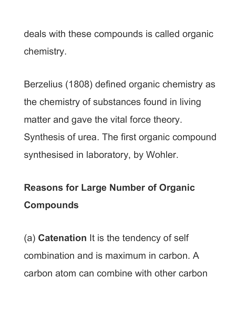deals with these compounds is called organic chemistry.

Berzelius (1808) defined organic chemistry as the chemistry of substances found in living matter and gave the vital force theory. Synthesis of urea. The first organic compound synthesised in laboratory, by Wohler.

# **Reasons for Large Number of Organic Compounds**

(a) **Catenation** It is the tendency of self combination and is maximum in carbon. A carbon atom can combine with other carbon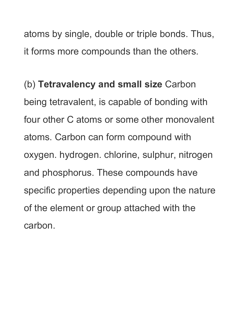atoms by single, double or triple bonds. Thus, it forms more compounds than the others.

(b) **Tetravalency and small size** Carbon being tetravalent, is capable of bonding with four other C atoms or some other monovalent atoms. Carbon can form compound with oxygen. hydrogen. chlorine, sulphur, nitrogen and phosphorus. These compounds have specific properties depending upon the nature of the element or group attached with the carbon.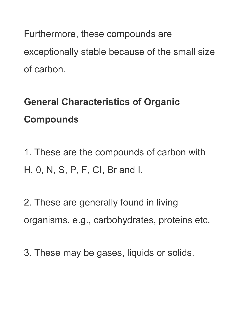Furthermore, these compounds are exceptionally stable because of the small size of carbon.

## **General Characteristics of Organic Compounds**

1. These are the compounds of carbon with H, 0, N, S, P, F, CI, Br and I.

2. These are generally found in living organisms. e.g., carbohydrates, proteins etc.

3. These may be gases, liquids or solids.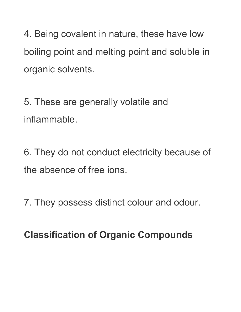4. Being covalent in nature, these have low boiling point and melting point and soluble in organic solvents.

5. These are generally volatile and inflammable.

6. They do not conduct electricity because of the absence of free ions.

7. They possess distinct colour and odour.

**Classification of Organic Compounds**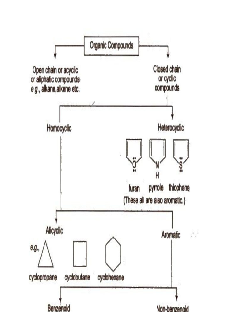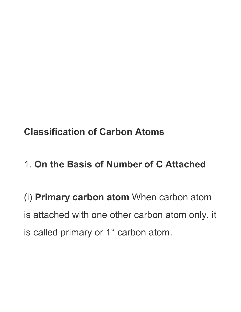**Classification of Carbon Atoms**

1. **On the Basis of Number of C Attached**

(i) **Primary carbon atom** When carbon atom is attached with one other carbon atom only, it is called primary or 1° carbon atom.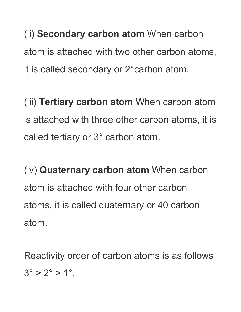(ii) **Secondary carbon atom** When carbon atom is attached with two other carbon atoms, it is called secondary or 2°carbon atom.

(iii) **Tertiary carbon atom** When carbon atom is attached with three other carbon atoms, it is called tertiary or 3° carbon atom.

(iv) **Quaternary carbon atom** When carbon atom is attached with four other carbon atoms, it is called quaternary or 40 carbon atom.

Reactivity order of carbon atoms is as follows  $3^{\circ} > 2^{\circ} > 1^{\circ}$ .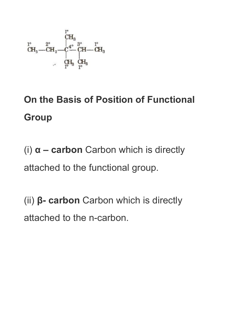$$
\begin{array}{ccc}\n & {}^{l^o}\!\!\!\!\!\!\text{CH}_3\\ \n & {}^{l^o}\!\!\!\!\!\text{CH}_3\\ \n & {}^{l^o}\!\!\!\!\text{CH}_3 \longrightarrow \overset{\circ}{\text{CH}_2} \longrightarrow \overset{\circ}{\text{CH}} \overset{\circ}{\text{CH}} \longrightarrow \overset{\circ}{\text{CH}} \longrightarrow \overset{\circ}{\text{CH}}_3\\ \n & {}^{l^o}\!\!\!\!\text{CH}_3 \quad \overset{\circ}{\text{CH}}_3 \quad \overset{\circ}{\text{CH}}_3\\ \n & {}^{l^o}\!\!\!\!\!\text{CH}_3 \quad \overset{\circ}{\text{CH}}_3\quad \overset{\circ}{\text{CH}} \longrightarrow \overset{\circ}{\text{CH}} \longrightarrow \overset{\circ}{\text{CH}} \longrightarrow \overset{\circ}{\text{CH}} \longrightarrow \overset{\circ}{\text{CH}} \longrightarrow \overset{\circ}{\text{CH}} \longrightarrow \overset{\circ}{\text{CH}} \longrightarrow \overset{\circ}{\text{CH}} \longrightarrow \overset{\circ}{\text{CH}} \longrightarrow \overset{\circ}{\text{CH}} \longrightarrow \overset{\circ}{\text{CH}} \longrightarrow \overset{\circ}{\text{CH}} \longrightarrow \overset{\circ}{\text{CH}} \longrightarrow \overset{\circ}{\text{CH}} \longrightarrow \overset{\circ}{\text{CH}} \longrightarrow \overset{\circ}{\text{CH}} \longrightarrow \overset{\circ}{\text{CH}} \longrightarrow \overset{\circ}{\text{CH}} \longrightarrow \overset{\circ}{\text{CH}} \longrightarrow \overset{\circ}{\text{CH}} \longrightarrow \overset{\circ}{\text{CH}} \longrightarrow \overset{\circ}{\text{CH}} \longrightarrow \overset{\circ}{\text{CH}} \longrightarrow \overset{\circ}{\text{CH}} \longrightarrow \overset{\circ}{\text{CH}} \longrightarrow \overset{\circ}{\text{CH}} \longrightarrow \overset{\circ}{\text{CH}} \longrightarrow \overset{\circ}{\text{CH}} \longrightarrow \overset{\circ}{\text{CH}} \longrightarrow \overset{\circ}{\text{CH}} \longrightarrow \overset{\circ}{\text{CH}} \longrightarrow \overset{\circ}{\text{CH}} \longrightarrow \overset{\circ}{\text{CH}} \longrightarrow \overset{\circ}{\text{CH}} \longrightarrow \overset{\circ}{\text{CH}} \longrightarrow \overset{\circ}{\text{CH}} \longrightarrow \overset{\circ}{\text{CH}} \longrightarrow \overset{\circ}{\text{CH}} \longrightarrow \overset{\circ}{\text{CH}} \longrightarrow \overset{\circ}{\text{CH}} \longrightarrow \overset{\circ}{\text{CH}} \longrightarrow \overset{\circ}{\text{
$$

## **On the Basis of Position of Functional Group**

(i) **α – carbon** Carbon which is directly attached to the functional group.

(ii) **β- carbon** Carbon which is directly attached to the n-carbon.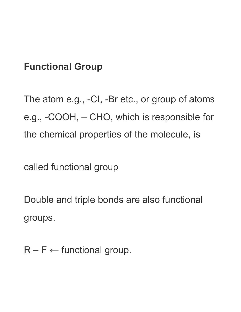#### **Functional Group**

The atom e.g., -CI, -Br etc., or group of atoms e.g., -COOH, – CHO, which is responsible for the chemical properties of the molecule, is

called functional group

Double and triple bonds are also functional groups.

 $R - F \leftarrow$  functional group.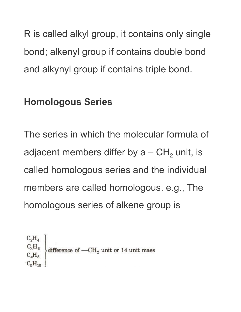R is called alkyl group, it contains only single bond; alkenyl group if contains double bond and alkynyl group if contains triple bond.

#### **Homologous Series**

The series in which the molecular formula of adjacent members differ by a – CH<sub>2</sub> unit, is called homologous series and the individual members are called homologous. e.g., The homologous series of alkene group is

 $C_2H_A$  $\begin{array}{c}\n\text{C}_3\text{H}_6 \\
\text{C}_4\text{H}_8\n\end{array}$  difference of  $-\text{CH}_2$  unit or 14 unit mass  $C_4H_8$  $C_5H_{10}$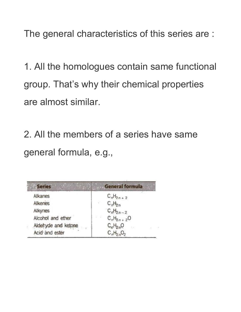The general characteristics of this series are :

1. All the homologues contain same functional group. That's why their chemical properties are almost similar.

2. All the members of a series have same general formula, e.g.,

| <b>Series</b>       | <b>General formula</b>                |  |
|---------------------|---------------------------------------|--|
| Alkanes             | $C_nH_{2n+2}$                         |  |
| Alkenes             | $C_nH_{2n}$                           |  |
| Alkynes             | $C_nH_{2n-2}$                         |  |
| Alcohol and ether   | 있는 것이다.<br>$C_nH_{2n+2}O$             |  |
| Aldehyde and ketone | $C_0H_{2n}O$<br>支出中<br>$\sim 10^{-1}$ |  |
| Acid and ester      | $C_nH_2$ <sub>n</sub> O <sub>2</sub>  |  |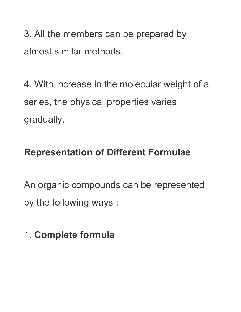3. All the members can be prepared by almost similar methods.

4. With increase in the molecular weight of a series, the physical properties varies gradually.

### **Representation of Different Formulae**

An organic compounds can be represented by the following ways :

## 1. **Complete formula**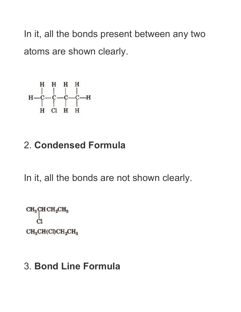In it, all the bonds present between any two atoms are shown clearly.

### 2. **Condensed Formula**

In it, all the bonds are not shown clearly.

```
CH<sub>3</sub>CHCH<sub>2</sub>CH<sub>3</sub>Ċ1
CH<sub>3</sub>CH(Cl)CH<sub>2</sub>CH<sub>3</sub>
```
### 3. **Bond Line Formula**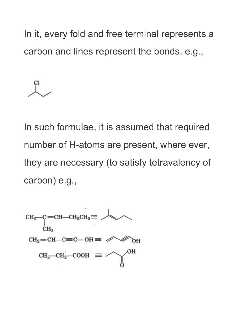In it, every fold and free terminal represents a carbon and lines represent the bonds. e.g.,



In such formulae, it is assumed that required number of H-atoms are present, where ever, they are necessary (to satisfy tetravalency of carbon) e.g.,

$$
CH_3-C=CH-CH_2CH_3 \equiv \leftarrow
$$
  
\n
$$
CH_3
$$
  
\n
$$
CH_2=CH-C=C-OH \equiv \leftarrow
$$
  
\n
$$
CH_2=CH-C=C-OH \equiv \leftarrow
$$
  
\n
$$
CH_3-CH_2-COOH \equiv \leftarrow
$$
  
\n
$$
OH
$$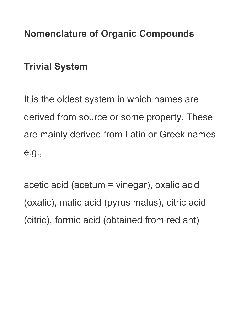### **Nomenclature of Organic Compounds**

### **Trivial System**

It is the oldest system in which names are derived from source or some property. These are mainly derived from Latin or Greek names e.g.,

acetic acid (acetum = vinegar), oxalic acid (oxalic), malic acid (pyrus malus), citric acid (citric), formic acid (obtained from red ant)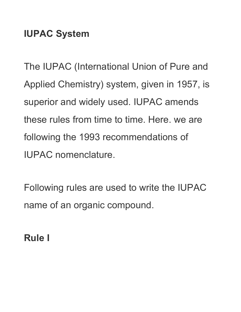### **IUPAC System**

The IUPAC (International Union of Pure and Applied Chemistry) system, given in 1957, is superior and widely used. IUPAC amends these rules from time to time. Here. we are following the 1993 recommendations of IUPAC nomenclature.

Following rules are used to write the IUPAC name of an organic compound.

**Rule I**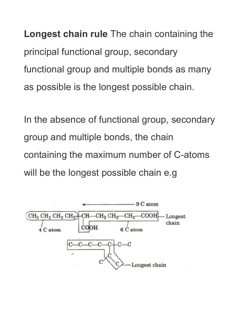**Longest chain rule** The chain containing the principal functional group, secondary functional group and multiple bonds as many as possible is the longest possible chain.

In the absence of functional group, secondary group and multiple bonds, the chain containing the maximum number of C-atoms will be the longest possible chain e.g

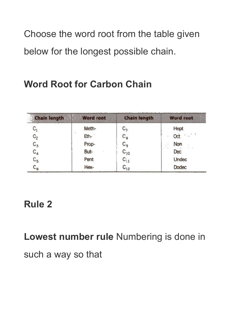Choose the word root from the table given below for the longest possible chain.

### **Word Root for Carbon Chain**

| <b>Chain length</b> | <b>Word root</b> | <b>Chain length</b> | <b>Word root</b>                  |
|---------------------|------------------|---------------------|-----------------------------------|
| $\mathtt{C}_1$      | Meth-            | С7.                 | Hept                              |
| $C_2$               | Eth-             | $C_{8}$             | $\mathcal{O}(\mathcal{A})$<br>Oct |
| $C_3$               | Prop-            | C <sub>9</sub>      | Non<br>g.                         |
| $C_4$               | But-             | $C_{10}$            | $-1$<br>Dec                       |
| $C_{5}$             | Pent             | $C_{11}$            | Undec                             |
| $\mathsf{C}_6$      | Hex-             | $C_{12}$            | <b>Dodec</b>                      |

### **Rule 2**

**Lowest number rule** Numbering is done in

such a way so that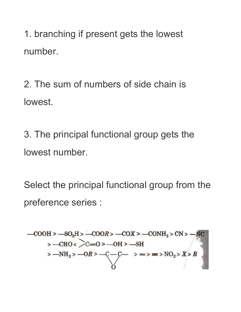1. branching if present gets the lowest number.

2. The sum of numbers of side chain is lowest.

3. The principal functional group gets the lowest number.

Select the principal functional group from the preference series :

$$
-COOH > -SO3H > -COOR > -COX > -CONH2 > CN > -NC
$$
  
\n
$$
> -CHO < 0 > -OH > -SH
$$
  
\n
$$
> -NH2 > -OR > -C-C
$$
  
\n
$$
O
$$
  
\n
$$
> = > = > NO2 > X > R
$$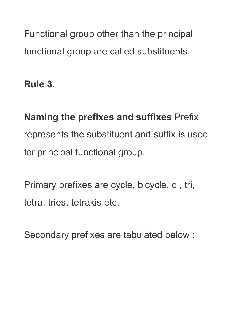Functional group other than the principal functional group are called substituents.

**Rule 3.**

**Naming the prefixes and suffixes** Prefix represents the substituent and suffix is used for principal functional group.

Primary prefixes are cycle, bicycle, di, tri, tetra, tries. tetrakis etc.

Secondary prefixes are tabulated below :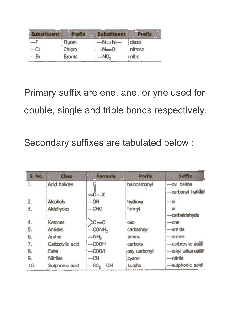| Fluoro       |                 | diazo   |
|--------------|-----------------|---------|
| Chloro       | $N=0$           | nitroso |
| <b>Bromo</b> | NO <sub>2</sub> | nitro   |

Primary suffix are ene, ane, or yne used for double, single and triple bonds respectively.

Secondary suffixes are tabulated below :

| <b>S. No.</b> | <b>Class</b>        | Formula                    | <b>Prefix</b><br>$\overline{H}$ | Suffix                          |
|---------------|---------------------|----------------------------|---------------------------------|---------------------------------|
|               | <b>Acid halides</b> | $-c-x$                     | halocarbonyl                    | -oyl halide<br>carbonyl halider |
| 2.            | <b>Alcohois</b>     | -OH                        | hydroxy                         | $-\alpha$                       |
| 3.            | Aldehydes           | $-$ CHO                    | formyl                          | $-a$<br>-carbaldehyde           |
| 4.            | Ketones             | $c = 0$                    | <b>OXO</b>                      | $-$ one                         |
| 5.            | <b>Amides</b>       | $-$ CONH <sub>2</sub>      | carbamoyl                       | -amide                          |
| 6.            | Amine               | $-MHb$                     | amino                           | -amine                          |
| 7.            | Carboxylic acid     | $-$ COOH                   | carboxy                         | -carboxylic acid                |
| 8.            | Ester               | $-COOR$                    | oxy carbonyl                    | -alkyl alkanoate                |
| 9.            | <b>Nitriles</b>     | $-cN$                      | cyano                           | -nitrile                        |
| 10.           | Sulphonic acid      | $-$ SO <sub>2</sub> $-$ OH | sulpho                          | -sulphonic acid                 |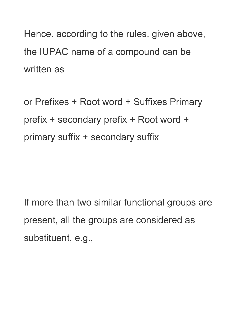Hence. according to the rules. given above, the IUPAC name of a compound can be written as

or Prefixes + Root word + Suffixes Primary prefix + secondary prefix + Root word + primary suffix + secondary suffix

If more than two similar functional groups are present, all the groups are considered as substituent, e.g.,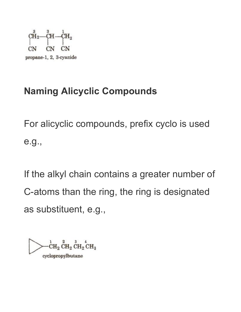

### **Naming Alicyclic Compounds**

For alicyclic compounds, prefix cyclo is used e.g.,

If the alkyl chain contains a greater number of C-atoms than the ring, the ring is designated as substituent, e.g.,

 ${}_{\rm CH_2}^{1}$   ${}_{\rm CH_2}^{2}$   ${}_{\rm CH_2}^{3}$   ${}_{\rm CH_3}^{4}$ cyclopropylbutane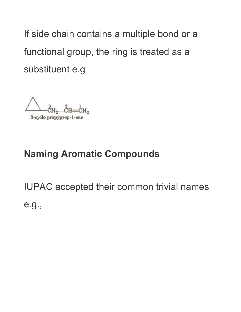If side chain contains a multiple bond or a functional group, the ring is treated as a substituent e.g

3-cyclo propyprop-1-ene

#### **Naming Aromatic Compounds**

IUPAC accepted their common trivial names e.g.,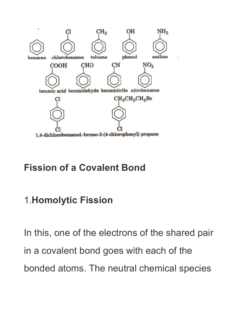

#### **Fission of a Covalent Bond**

### 1.**Homolytic Fission**

In this, one of the electrons of the shared pair in a covalent bond goes with each of the bonded atoms. The neutral chemical species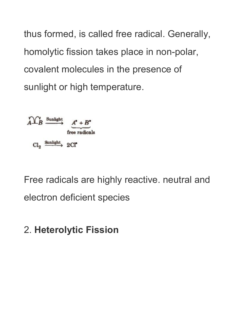thus formed, is called free radical. Generally, homolytic fission takes place in non-polar, covalent molecules in the presence of sunlight or high temperature.



Free radicals are highly reactive. neutral and electron deficient species

### 2. **Heterolytic Fission**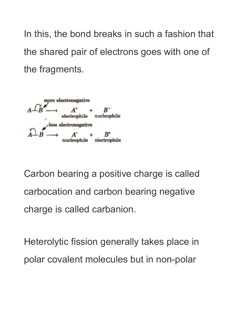In this, the bond breaks in such a fashion that the shared pair of electrons goes with one of the fragments.



Carbon bearing a positive charge is called carbocation and carbon bearing negative charge is called carbanion.

Heterolytic fission generally takes place in polar covalent molecules but in non-polar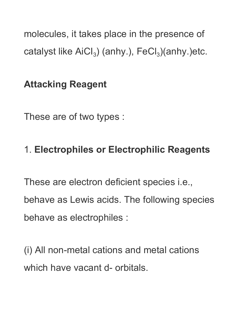molecules, it takes place in the presence of catalyst like  $\text{AiCl}_3$ ) (anhy.),  $\text{FeCl}_3$ )(anhy.)etc.

### **Attacking Reagent**

These are of two types :

### 1. **Electrophiles or Electrophilic Reagents**

These are electron deficient species i.e., behave as Lewis acids. The following species behave as electrophiles :

(i) All non-metal cations and metal cations which have vacant d- orbitals.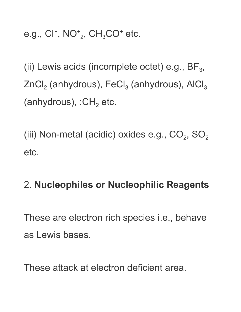e.g.,  $Cl^+$ , NO<sup>+</sup><sub>2</sub>, CH<sub>3</sub>CO<sup>+</sup> etc.

(ii) Lewis acids (incomplete octet) e.g.,  $BF_3$ , ZnCl $_2$  (anhydrous), FeCl $_3$  (anhydrous), AlCl $_3$ (anhydrous),  $:CH<sub>2</sub>$  etc.

(iii) Non-metal (acidic) oxides e.g.,  $CO_2$ ,  $SO_2$ etc.

### 2. **Nucleophiles or Nucleophilic Reagents**

These are electron rich species i.e., behave as Lewis bases.

These attack at electron deficient area.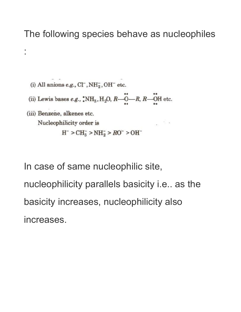#### The following species behave as nucleophiles

(i) All anions e.g.,  $\text{C}\Gamma$ ,  $\text{NH}_2^-$ ,  $\text{OH}^-$  etc.

:

- (ii) Lewis bases e.g.,  $\cdot$ NH<sub>3</sub>, H<sub>2</sub>O, R—O—R, R—OH etc.
- (iii) Benzene, alkenes etc.  $\sim$ Nucleophilicity order is  $H^- > CH_3^- > NH_2^- > RO^- > OH^-$

In case of same nucleophilic site, nucleophilicity parallels basicity i.e.. as the basicity increases, nucleophilicity also increases.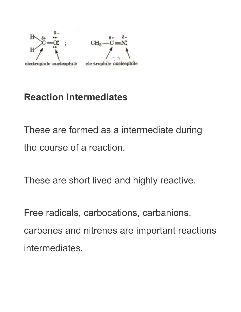



#### electrophile nucleophile

#### **Reaction Intermediates**

These are formed as a intermediate during the course of a reaction.

These are short lived and highly reactive.

Free radicals, carbocations, carbanions, carbenes and nitrenes are important reactions intermediates.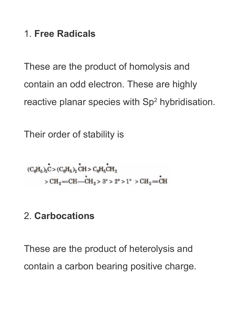### 1. **Free Radicals**

These are the product of homolysis and contain an odd electron. These are highly reactive planar species with Sp<sup>2</sup> hybridisation.

Their order of stability is

$$
(\mathrm{C}_{\theta}\mathrm{H}_{5})_{3}\overset{\bullet}{\mathrm{C}} > (\mathrm{C}_{\theta}\mathrm{H}_{5})_{2}\overset{\bullet}{\mathrm{CH}} > \mathrm{C}_{\theta}\mathrm{H}_{5}\overset{\bullet}{\mathrm{CH}}_{2}
$$
  
>  $\mathrm{CH}_{2}=\mathrm{CH}\overset{\bullet}{-\mathrm{CH}}_{2} > 3^{\circ} > 2^{\circ} > 1^{\circ} > \mathrm{CH}_{2}=\overset{\bullet}{\mathrm{CH}}$ 

### 2. **Carbocations**

These are the product of heterolysis and contain a carbon bearing positive charge.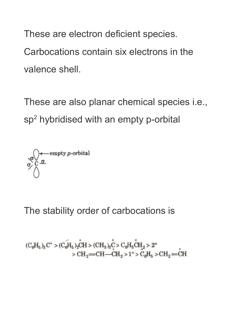These are electron deficient species. Carbocations contain six electrons in the valence shell.

These are also planar chemical species i.e., sp<sup>2</sup> hybridised with an empty p-orbital

$$
\sigma\bigodot \sigma \text{ empty } p\text{-orbital}
$$

The stability order of carbocations is

$$
\begin{array}{l}(\mathrm{C}_6\mathrm{H}_5)_3\mathrm{C}^+>(\mathrm{C}_6\mathrm{H}_5)_2\mathrm{CH}>(\mathrm{CH}_3)_3\mathrm{C}> \mathrm{C}_6\mathrm{H}_5\mathrm{CH}_2>2^\circ\\ >\mathrm{CH}_2\mathrm{=CH}\mathrm{=CH}_2>1^\circ>\mathrm{C}_6\mathrm{H}_5>\mathrm{CH}_2\mathrm{=CH}\end{array}
$$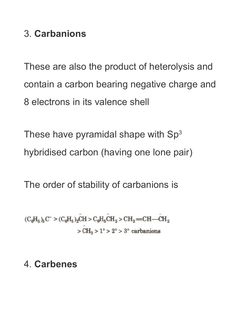#### 3. **Carbanions**

These are also the product of heterolysis and contain a carbon bearing negative charge and 8 electrons in its valence shell

These have pyramidal shape with  $Sp<sup>3</sup>$ hybridised carbon (having one lone pair)

The order of stability of carbanions is

$$
(C_{\theta}H_5)_8C^{\dagger} > (C_{\theta}H_5)_2CH > C_{\theta}H_5CH_2 > CH_2=CH-CH_2
$$
  
 $\ge CH_3 > 1^{\circ} > 2^{\circ} > 3^{\circ}$  carbonions

#### 4. **Carbenes**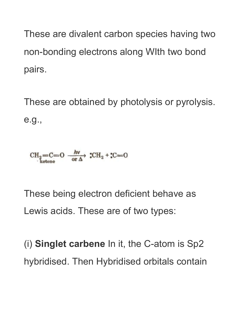These are divalent carbon species having two non-bonding electrons along WIth two bond pairs.

These are obtained by photolysis or pyrolysis. e.g.,

$$
CH2=C=O
$$
  $\xrightarrow{\hbar v \text{ or } \Delta}$   $CH2$  +  $CC=O$ 

These being electron deficient behave as Lewis acids. These are of two types:

(i) **Singlet carbene** In it, the C-atom is Sp2 hybridised. Then Hybridised orbitals contain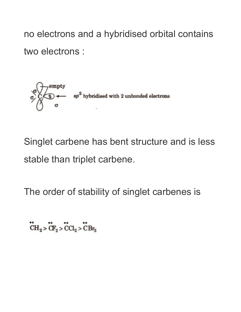no electrons and a hybridised orbital contains two electrons :



Singlet carbene has bent structure and is less stable than triplet carbene.

The order of stability of singlet carbenes is

 $CH_2 > CH_2 > CCl_2 > CBr_2$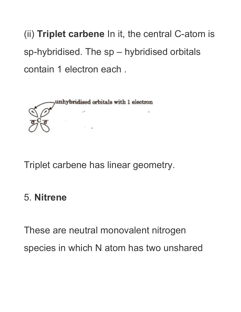(ii) **Triplet carbene** In it, the central C-atom is sp-hybridised. The sp – hybridised orbitals contain 1 electron each .



Triplet carbene has linear geometry.

#### 5. **Nitrene**

These are neutral monovalent nitrogen species in which N atom has two unshared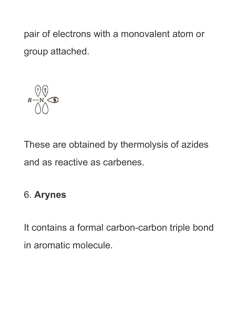pair of electrons with a monovalent atom or group attached.



These are obtained by thermolysis of azides and as reactive as carbenes.

### 6. **Arynes**

It contains a formal carbon-carbon triple bond in aromatic molecule.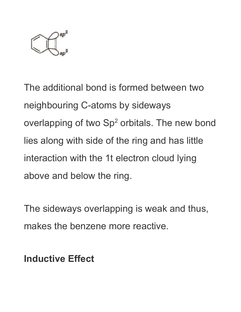

The additional bond is formed between two neighbouring C-atoms by sideways overlapping of two  $Sp<sup>2</sup>$  orbitals. The new bond lies along with side of the ring and has little interaction with the 1t electron cloud lying above and below the ring.

The sideways overlapping is weak and thus, makes the benzene more reactive.

**Inductive Effect**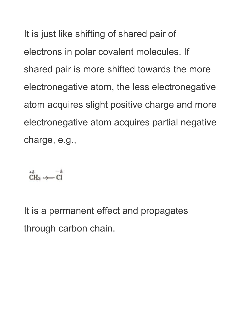It is just like shifting of shared pair of electrons in polar covalent molecules. If shared pair is more shifted towards the more electronegative atom, the less electronegative atom acquires slight positive charge and more electronegative atom acquires partial negative charge, e.g.,

 $CH_3 \rightarrow \begin{array}{c} -8 \\ \text{CH}_3 \rightarrow \end{array}$ 

It is a permanent effect and propagates through carbon chain.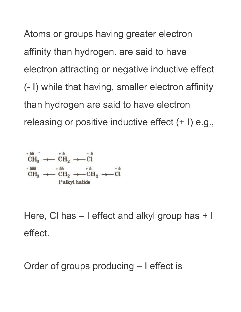Atoms or groups having greater electron affinity than hydrogen. are said to have electron attracting or negative inductive effect (- I) while that having, smaller electron affinity than hydrogen are said to have electron releasing or positive inductive effect (+ I) e.g.,

$$
\begin{array}{r} \stackrel{+ \ 8 \ 6 }{C} H_3 \ + \stackrel{+ \ 8 }{C} H_2 \ + \stackrel{+ \ 8 }{C} H_3 \ + \stackrel{+ \ 8 \ 6 }{C} H_3 \ + \stackrel{+ \ 8 \ 6 }{C} H_2 \ + \stackrel{+ \ 8 }{C} H_2 \ + \stackrel{+ \ 8 }{C} H_2 \ + \stackrel{+ \ 8 }{C} H_2 \ + \stackrel{+ \ 8 }{C} H_2 \ + \stackrel{+ \ 8 }{C} H_2 \ + \stackrel{+ \ 8 }{C} H_2 \ + \stackrel{+ \ 8 }{C} H_2 \ + \stackrel{+ \ 8 }{C} H_2 \ + \stackrel{+ \ 8 }{C} H_2 \ + \stackrel{+ \ 8 }{C} H_2 \ + \stackrel{+ \ 8 }{C} H_2 \ + \stackrel{+ \ 8 }{C} H_2 \ + \stackrel{+ \ 8 }{C} H_2 \ + \stackrel{+ \ 8 }{C} H_2 \ + \stackrel{+ \ 8 }{C} H_2 \ + \stackrel{+ \ 8 }{C} H_2 \ + \stackrel{+ \ 8 }{C} H_2 \ + \stackrel{+ \ 8 }{C} H_2 \ + \stackrel{+ \ 8 }{C} H_2 \ + \stackrel{+ \ 8 }{C} H_2 \ + \stackrel{+ \ 8 }{C} H_2 \ + \stackrel{+ \ 8 }{C} H_2 \ + \stackrel{+ \ 8 }{C} H_2 \ + \stackrel{+ \ 8 }{C} H_2 \ + \stackrel{+ \ 8 }{C} H_2 \ + \stackrel{+ \ 8 }{C} H_2 \ + \stackrel{+ \ 8 }{C} H_2 \ + \stackrel{+ \ 8 }{C} H_2 \ + \stackrel{+ \ 8 }{C} H_2 \ + \stackrel{+ \ 8 }{C} H_2 \ + \stackrel{+ \ 8 }{C} H_2 \ + \stackrel{+ \ 8 }{C} H_2 \ + \stackrel{+ \ 8 }{C} H_2 \ + \stackrel{+ \ 8 }{C} H_2 \ + \stackrel{+ \ 8 }{C} H_2 \ + \stackrel{+ \ 8 }{C} H_2 \ + \stackrel{+ \ 8 }{C} H_2 \ + \stackrel{+ \ 8 }{C} H_2 \ + \stackrel{+ \ 8 }{C} H
$$

Here, Cl has – I effect and alkyl group has + I effect.

Order of groups producing – I effect is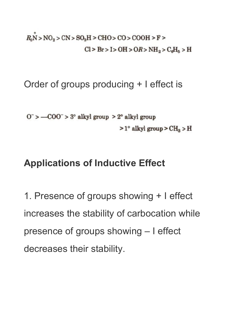$R_9N > NO_2 > CN > SO_3H > CHO > CO > COOH > F >$  $Cl > Br > I > OH > OR > NH<sub>2</sub> > C<sub>0</sub>H<sub>5</sub> > H$ 

Order of groups producing + I effect is

 $0^-$  > -COO<sup> $-$ </sup> > 3° alkyl group > 2° alkyl group  $>1^\circ$  alkyl group  $>CH_a$  > H

#### **Applications of Inductive Effect**

1. Presence of groups showing + I effect increases the stability of carbocation while presence of groups showing – I effect decreases their stability.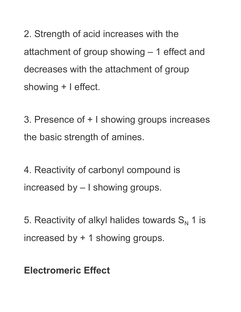2. Strength of acid increases with the attachment of group showing – 1 effect and decreases with the attachment of group showing + I effect.

3. Presence of + I showing groups increases the basic strength of amines.

4. Reactivity of carbonyl compound is increased by – I showing groups.

5. Reactivity of alkyl halides towards  $S_N$  1 is increased by + 1 showing groups.

**Electromeric Effect**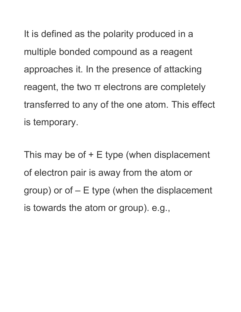It is defined as the polarity produced in a multiple bonded compound as a reagent approaches it. In the presence of attacking reagent, the two π electrons are completely transferred to any of the one atom. This effect is temporary.

This may be of + E type (when displacement of electron pair is away from the atom or group) or of – E type (when the displacement is towards the atom or group). e.g.,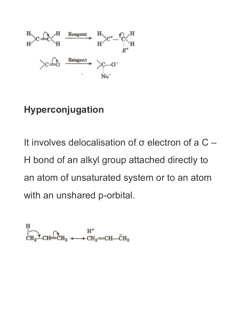

#### **Hyperconjugation**

It involves delocalisation of σ electron of a C – H bond of an alkyl group attached directly to an atom of unsaturated system or to an atom with an unshared p-orbital.

$$
\overleftrightarrow{CH_2}^{\text{H}}\text{CH}_2 \xrightarrow{H^+} \text{CH}_2 \xleftarrow{H^+} \text{CH}_2 \xleftarrow{\bar{C}} \text{H}_2
$$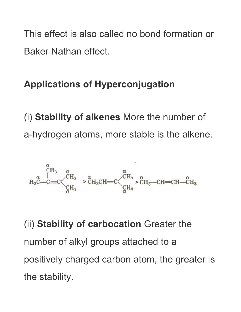This effect is also called no bond formation or Baker Nathan effect.

### **Applications of Hyperconjugation**

(i) **Stability of alkenes** More the number of a-hydrogen atoms, more stable is the alkene.



(ii) **Stability of carbocation** Greater the number of alkyl groups attached to a positively charged carbon atom, the greater is the stability.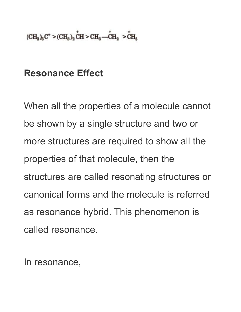$(CH_{a})_{a}C^{+} > (CH_{a})_{2}CH > CH_{a}$  -  $CH_{a} > CH_{a}$ 

#### **Resonance Effect**

When all the properties of a molecule cannot be shown by a single structure and two or more structures are required to show all the properties of that molecule, then the structures are called resonating structures or canonical forms and the molecule is referred as resonance hybrid. This phenomenon is called resonance.

In resonance,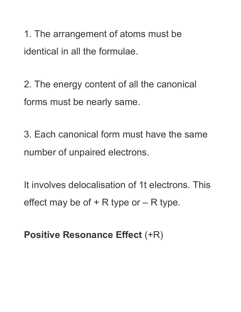1. The arrangement of atoms must be identical in all the formulae.

2. The energy content of all the canonical forms must be nearly same.

3. Each canonical form must have the same number of unpaired electrons.

It involves delocalisation of 1t electrons. This effect may be of  $+$  R type or  $-$  R type.

**Positive Resonance Effect** (+R)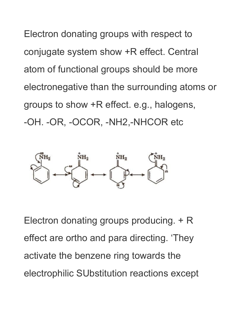Electron donating groups with respect to conjugate system show +R effect. Central atom of functional groups should be more electronegative than the surrounding atoms or groups to show +R effect. e.g., halogens, -OH. -OR, -OCOR, -NH2,-NHCOR etc



Electron donating groups producing. + R effect are ortho and para directing. 'They activate the benzene ring towards the electrophilic SUbstitution reactions except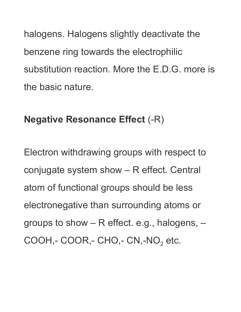halogens. Halogens slightly deactivate the benzene ring towards the electrophilic substitution reaction. More the E.D.G. more is the basic nature.

#### **Negative Resonance Effect** (-R)

Electron withdrawing groups with respect to conjugate system show – R effect. Central atom of functional groups should be less electronegative than surrounding atoms or groups to show – R effect. e.g., halogens, –  $COOH, - COOR, - CHO, - CN, -NO<sub>2</sub> etc.$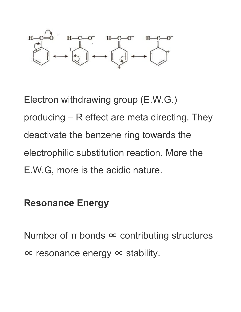

Electron withdrawing group (E.W.G.) producing – R effect are meta directing. They deactivate the benzene ring towards the electrophilic substitution reaction. More the E.W.G, more is the acidic nature.

#### **Resonance Energy**

Number of  $\pi$  bonds  $\infty$  contributing structures ∝ resonance energy ∝ stability.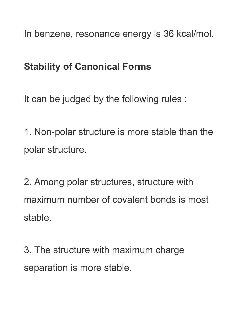In benzene, resonance energy is 36 kcal/mol.

#### **Stability of Canonical Forms**

It can be judged by the following rules :

1. Non-polar structure is more stable than the polar structure.

2. Among polar structures, structure with maximum number of covalent bonds is most stable.

3. The structure with maximum charge separation is more stable.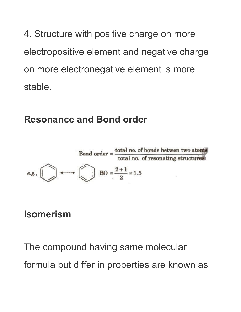4. Structure with positive charge on more electropositive element and negative charge on more electronegative element is more stable.

#### **Resonance and Bond order**



#### **Isomerism**

The compound having same molecular formula but differ in properties are known as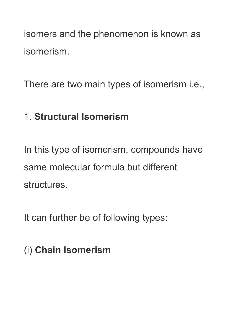isomers and the phenomenon is known as isomerism.

There are two main types of isomerism i.e.,

### 1. **Structural Isomerism**

In this type of isomerism, compounds have same molecular formula but different structures.

It can further be of following types:

(i) **Chain Isomerism**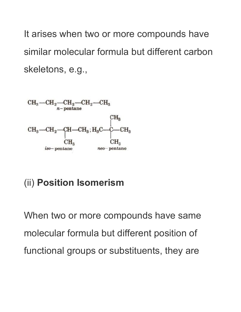It arises when two or more compounds have similar molecular formula but different carbon skeletons, e.g.,



### (ii) **Position Isomerism**

When two or more compounds have same molecular formula but different position of functional groups or substituents, they are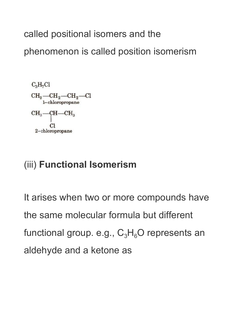called positional isomers and the phenomenon is called position isomerism



#### (iii) **Functional Isomerism**

It arises when two or more compounds have the same molecular formula but different functional group. e.g.,  $C_3H_6O$  represents an aldehyde and a ketone as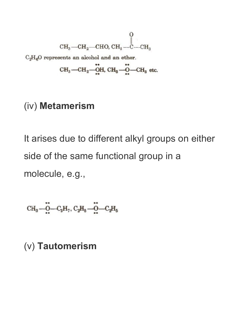$$
\begin{matrix} & & 0 \\ \text{CH}_3\text{---CH}_2\text{---CHO, CH}_3\text{---CH}_3 \\ \end{matrix}
$$

 $\rm{C_2H_6O}$  represents an alcohol and an ether.

$$
CH_3—CH_2—OH, CH_8—O—CH_8 etc.
$$

#### (iv) **Metamerism**

It arises due to different alkyl groups on either side of the same functional group in a molecule, e.g.,

$$
\mathrm{CH_3} \textcolor{blue}{\boldsymbol{-}\overset{ \bullet}{\boldsymbol{\mathrm{O}}} \boldsymbol{-} \mathrm{C_3} \mathrm{H}_7}, \, \mathrm{C_2} \mathrm{H_6} \textcolor{blue}{\boldsymbol{-}\overset{ \bullet}{\boldsymbol{\mathrm{O}}} \boldsymbol{-} \mathrm{C_2} \mathrm{H_5}}
$$

#### (v) **Tautomerism**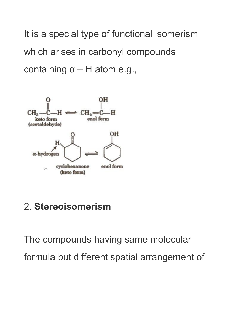It is a special type of functional isomerism which arises in carbonyl compounds containing  $α - H$  atom e.g.,



#### 2. **Stereoisomerism**

The compounds having same molecular formula but different spatial arrangement of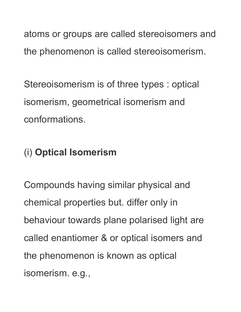atoms or groups are called stereoisomers and the phenomenon is called stereoisomerism.

Stereoisomerism is of three types : optical isomerism, geometrical isomerism and conformations.

### (i) **Optical Isomerism**

Compounds having similar physical and chemical properties but. differ only in behaviour towards plane polarised light are called enantiomer & or optical isomers and the phenomenon is known as optical isomerism. e.g.,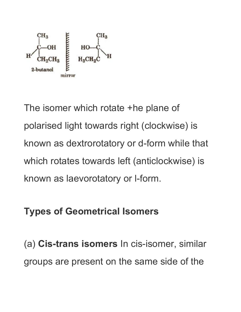

The isomer which rotate +he plane of polarised light towards right (clockwise) is known as dextrorotatory or d-form while that which rotates towards left (anticlockwise) is known as laevorotatory or l-form.

### **Types of Geometrical Isomers**

(a) **Cis-trans isomers** In cis-isomer, similar groups are present on the same side of the